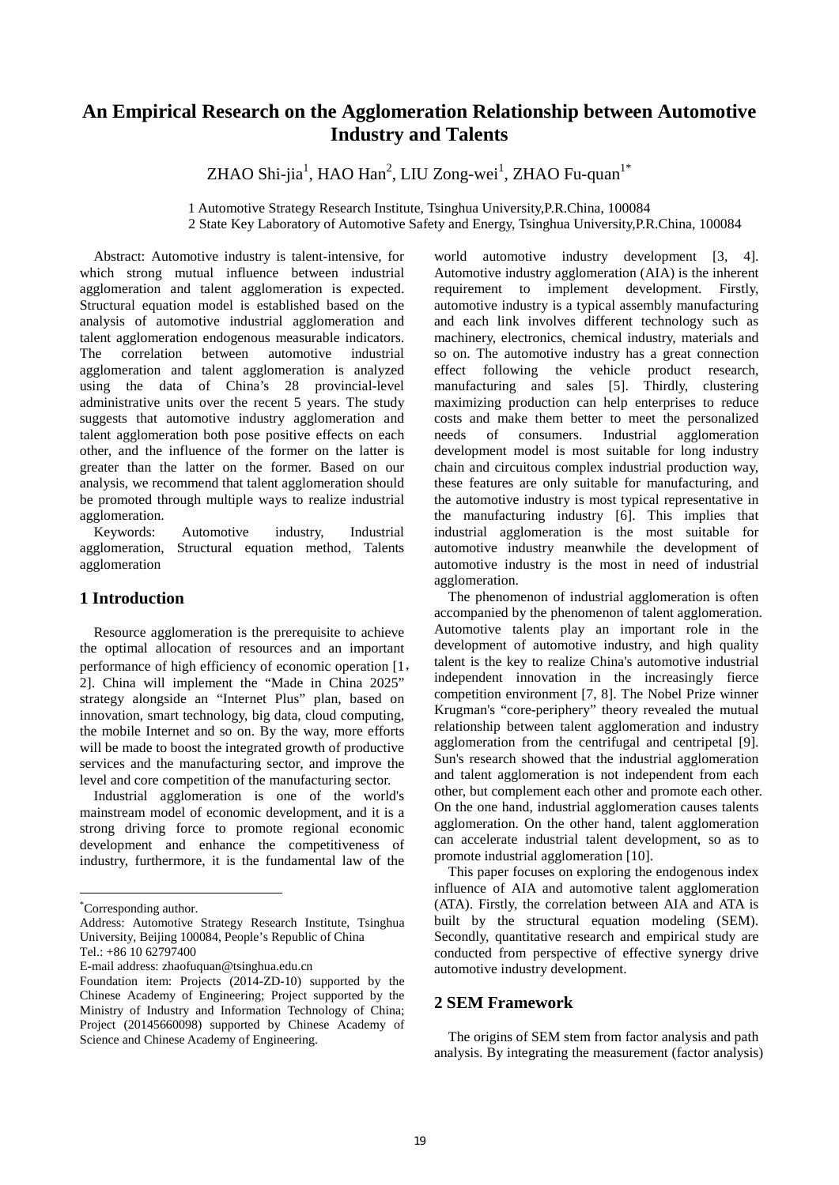# **An Empirical Research on the Agglomeration Relationship between Automotive Industry and Talents**

 $Z$ HAO Shi-jia $^1$ , HAO Han $^2$ , LIU Zong-wei $^1$ , ZHAO Fu-quan $^{1*}$ 

1 Automotive Strategy Research Institute, Tsinghua University,P.R.China, 100084 2 State Key Laboratory of Automotive Safety and Energy, Tsinghua University,P.R.China, 100084

Abstract: Automotive industry is talent-intensive, for which strong mutual influence between industrial agglomeration and talent agglomeration is expected. Structural equation model is established based on the analysis of automotive industrial agglomeration and talent agglomeration endogenous measurable indicators. The correlation between automotive industrial agglomeration and talent agglomeration is analyzed using the data of China's 28 provincial-level administrative units over the recent 5 years. The study suggests that automotive industry agglomeration and talent agglomeration both pose positive effects on each other, and the influence of the former on the latter is greater than the latter on the former. Based on our analysis, we recommend that talent agglomeration should be promoted through multiple ways to realize industrial agglomeration.

Keywords: Automotive industry, Industrial agglomeration, Structural equation method, Talents agglomeration

# **1 Introduction**

Resource agglomeration is the prerequisite to achieve the optimal allocation of resources and an important performance of high efficiency of economic operation [1, 2]. China will implement the "Made in China 2025" strategy alongside an "Internet Plus" plan, based on innovation, smart technology, big data, cloud computing, the mobile Internet and so on. By the way, more efforts will be made to boost the integrated growth of productive services and the manufacturing sector, and improve the level and core competition of the manufacturing sector.

Industrial agglomeration is one of the world's mainstream model of economic development, and it is a strong driving force to promote regional economic development and enhance the competitiveness of industry, furthermore, it is the fundamental law of the

E-mail address: zhaofuquan@tsinghua.edu.cn

world automotive industry development [3, 4]. Automotive industry agglomeration (AIA) is the inherent requirement to implement development. Firstly, automotive industry is a typical assembly manufacturing and each link involves different technology such as machinery, electronics, chemical industry, materials and so on. The automotive industry has a great connection effect following the vehicle product research, manufacturing and sales [5]. Thirdly, clustering maximizing production can help enterprises to reduce costs and make them better to meet the personalized needs of consumers. Industrial agglomeration development model is most suitable for long industry chain and circuitous complex industrial production way, these features are only suitable for manufacturing, and the automotive industry is most typical representative in the manufacturing industry [6]. This implies that industrial agglomeration is the most suitable for automotive industry meanwhile the development of automotive industry is the most in need of industrial agglomeration.

The phenomenon of industrial agglomeration is often accompanied by the phenomenon of talent agglomeration. Automotive talents play an important role in the development of automotive industry, and high quality talent is the key to realize China's automotive industrial independent innovation in the increasingly fierce competition environment [7, 8]. The Nobel Prize winner Krugman's "core-periphery" theory revealed the mutual relationship between talent agglomeration and industry agglomeration from the centrifugal and centripetal [9]. Sun's research showed that the industrial agglomeration and talent agglomeration is not independent from each other, but complement each other and promote each other. On the one hand, industrial agglomeration causes talents agglomeration. On the other hand, talent agglomeration can accelerate industrial talent development, so as to promote industrial agglomeration [10].

This paper focuses on exploring the endogenous index influence of AIA and automotive talent agglomeration (ATA). Firstly, the correlation between AIA and ATA is built by the structural equation modeling (SEM). Secondly, quantitative research and empirical study are conducted from perspective of effective synergy drive automotive industry development.

# **2 SEM Framework**

The origins of SEM stem from factor analysis and path analysis. By integrating the measurement (factor analysis)

 \* Corresponding author.

Address: Automotive Strategy Research Institute, Tsinghua University, Beijing 100084, People's Republic of China

Tel.: +86 10 62797400

Foundation item: Projects (2014-ZD-10) supported by the Chinese Academy of Engineering; Project supported by the Ministry of Industry and Information Technology of China; Project (20145660098) supported by Chinese Academy of Science and Chinese Academy of Engineering.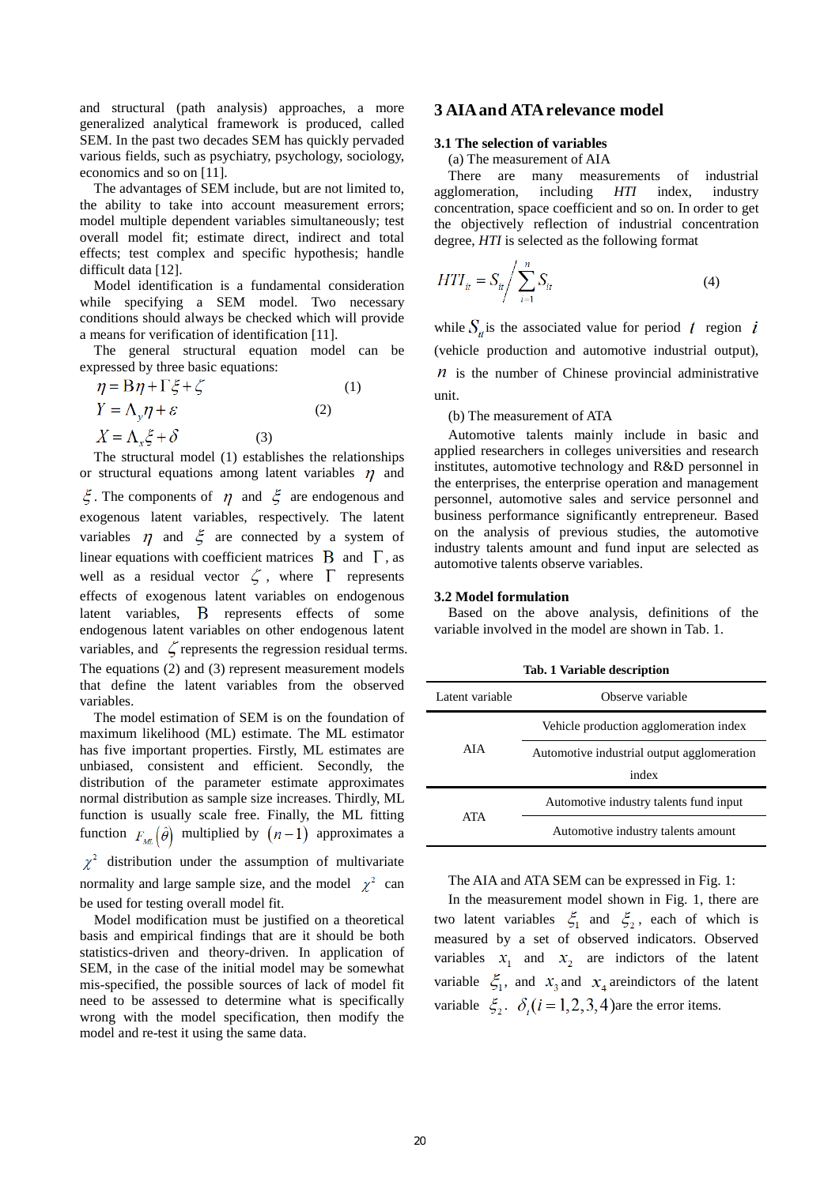and structural (path analysis) approaches, a more generalized analytical framework is produced, called SEM. In the past two decades SEM has quickly pervaded various fields, such as psychiatry, psychology, sociology, economics and so on [11].

The advantages of SEM include, but are not limited to, the ability to take into account measurement errors; model multiple dependent variables simultaneously; test overall model fit; estimate direct, indirect and total effects; test complex and specific hypothesis; handle difficult data [12].

Model identification is a fundamental consideration while specifying a SEM model. Two necessary conditions should always be checked which will provide a means for verification of identification [11].

The general structural equation model can be expressed by three basic equations:

| $\eta = B\eta + \Gamma\xi + \zeta$ |     |     | (1) |
|------------------------------------|-----|-----|-----|
| $Y = \Lambda_v \eta + \varepsilon$ |     | (2) |     |
| $X = \Lambda_x \xi + \delta$       | (3) |     |     |

 The structural model (1) establishes the relationships or structural equations among latent variables  $\eta$  and  $\zeta$ . The components of  $\eta$  and  $\zeta$  are endogenous and exogenous latent variables, respectively. The latent variables  $\eta$  and  $\xi$  are connected by a system of linear equations with coefficient matrices  $\,$  B and  $\,$   $\Gamma$ , as well as a residual vector  $\zeta$ , where  $\Gamma$  represents effects of exogenous latent variables on endogenous latent variables, B represents effects of some endogenous latent variables on other endogenous latent variables, and  $\zeta$  represents the regression residual terms. The equations (2) and (3) represent measurement models that define the latent variables from the observed variables.

 The model estimation of SEM is on the foundation of maximum likelihood (ML) estimate. The ML estimator has five important properties. Firstly, ML estimates are unbiased, consistent and efficient. Secondly, the distribution of the parameter estimate approximates normal distribution as sample size increases. Thirdly, ML function is usually scale free. Finally, the ML fitting function  $F_{M}(\hat{\theta})$  multiplied by  $(n-1)$  approximates a  $\chi^2$  distribution under the assumption of multivariate

normality and large sample size, and the model  $\chi^2$  can be used for testing overall model fit.

 Model modification must be justified on a theoretical basis and empirical findings that are it should be both statistics-driven and theory-driven. In application of SEM, in the case of the initial model may be somewhat mis-specified, the possible sources of lack of model fit need to be assessed to determine what is specifically wrong with the model specification, then modify the model and re-test it using the same data.

# **3 AIA and ATA relevance model**

### **3.1 The selection of variables**

(a) The measurement of AIA

There are many measurements of industrial agglomeration, including *HTI* index, industry concentration, space coefficient and so on. In order to get the objectively reflection of industrial concentration degree, *HTI* is selected as the following format

$$
HTI_{it} = S_{it} / \sum_{i=1}^{n} S_{it}
$$
 (4)

while  $S_{it}$  is the associated value for period t region i (vehicle production and automotive industrial output),  *is the number of Chinese provincial administrative* unit.

#### (b) The measurement of ATA

 Automotive talents mainly include in basic and applied researchers in colleges universities and research institutes, automotive technology and R&D personnel in the enterprises, the enterprise operation and management personnel, automotive sales and service personnel and business performance significantly entrepreneur. Based on the analysis of previous studies, the automotive industry talents amount and fund input are selected as automotive talents observe variables.

#### **3.2 Model formulation**

Based on the above analysis, definitions of the variable involved in the model are shown in Tab. 1.

**Tab. 1 Variable description**

| Latent variable | Observe variable                           |  |  |  |
|-----------------|--------------------------------------------|--|--|--|
| AIA             | Vehicle production agglomeration index     |  |  |  |
|                 | Automotive industrial output agglomeration |  |  |  |
|                 | index                                      |  |  |  |
| <b>ATA</b>      | Automotive industry talents fund input     |  |  |  |
|                 | Automotive industry talents amount         |  |  |  |

The AIA and ATA SEM can be expressed in Fig. 1:

 In the measurement model shown in Fig. 1, there are two latent variables  $\xi_1$  and  $\xi_2$ , each of which is measured by a set of observed indicators. Observed variables  $x_1$  and  $x_2$  are indictors of the latent variable  $\zeta_1$ , and  $x_3$  and  $x_4$  areindictors of the latent variable  $\zeta_2$ .  $\delta_i$  ( $i = 1, 2, 3, 4$ ) are the error items.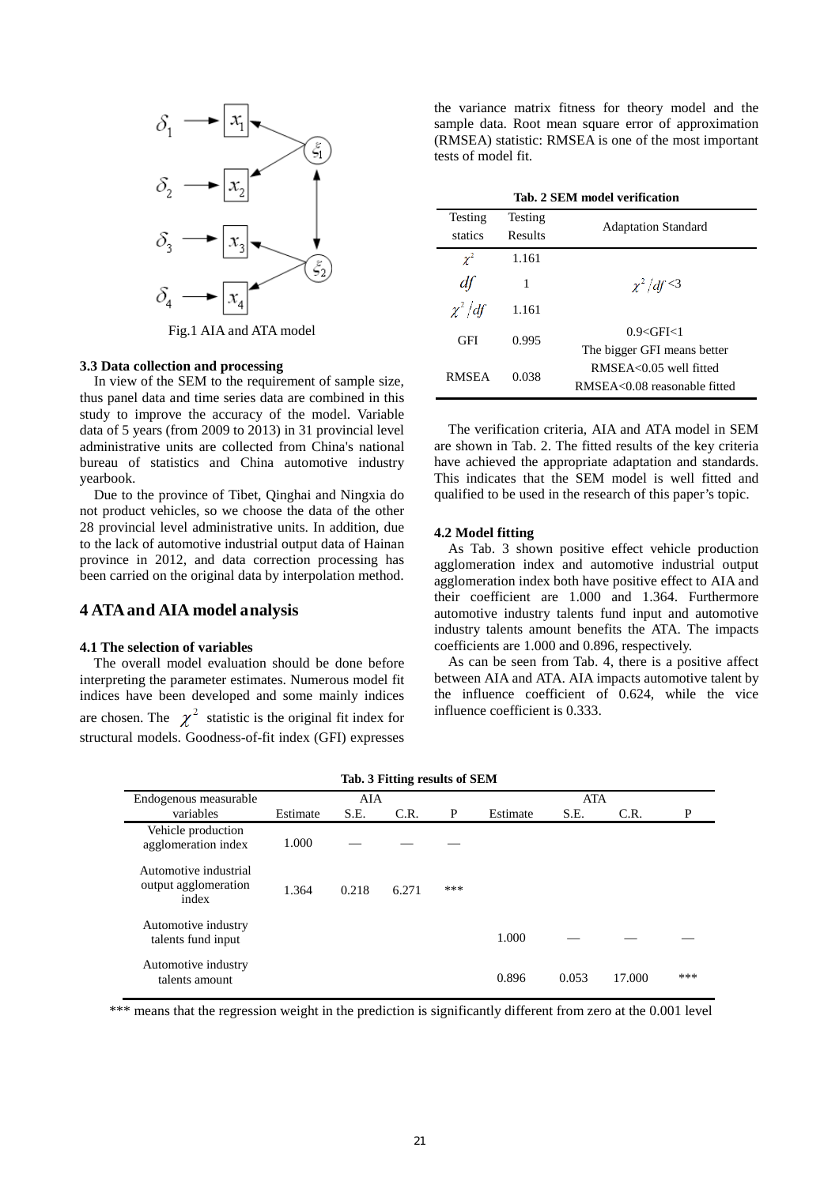

Fig.1 AIA and ATA model

#### **3.3 Data collection and processing**

 In view of the SEM to the requirement of sample size, thus panel data and time series data are combined in this study to improve the accuracy of the model. Variable data of 5 years (from 2009 to 2013) in 31 provincial level administrative units are collected from China's national bureau of statistics and China automotive industry yearbook.

 Due to the province of Tibet, Qinghai and Ningxia do not product vehicles, so we choose the data of the other 28 provincial level administrative units. In addition, due to the lack of automotive industrial output data of Hainan province in 2012, and data correction processing has been carried on the original data by interpolation method.

# **4 ATA and AIA model analysis**

#### **4.1 The selection of variables**

 The overall model evaluation should be done before interpreting the parameter estimates. Numerous model fit indices have been developed and some mainly indices are chosen. The  $\chi^2$  statistic is the original fit index for structural models. Goodness-of-fit index (GFI) expresses

the variance matrix fitness for theory model and the sample data. Root mean square error of approximation (RMSEA) statistic: RMSEA is one of the most important tests of model fit.

| Tab. 2 SEM model verification |                             |                              |  |  |  |
|-------------------------------|-----------------------------|------------------------------|--|--|--|
| Testing                       | Testing                     | <b>Adaptation Standard</b>   |  |  |  |
| statics                       | Results                     |                              |  |  |  |
| $\gamma^2$                    | 1.161                       |                              |  |  |  |
| df                            | 1                           | $\chi^2$ df <3               |  |  |  |
| $\chi^2/df$                   | 1.161                       |                              |  |  |  |
| GFI<br>0.995                  | 0.9 < GFI < 1               |                              |  |  |  |
|                               | The bigger GFI means better |                              |  |  |  |
| <b>RMSEA</b>                  | 0.038                       | RMSEA<0.05 well fitted       |  |  |  |
|                               |                             | RMSEA<0.08 reasonable fitted |  |  |  |

 The verification criteria, AIA and ATA model in SEM are shown in Tab. 2. The fitted results of the key criteria have achieved the appropriate adaptation and standards. This indicates that the SEM model is well fitted and qualified to be used in the research of this paper's topic.

#### **4.2 Model fitting**

 As Tab. 3 shown positive effect vehicle production agglomeration index and automotive industrial output agglomeration index both have positive effect to AIA and their coefficient are 1.000 and 1.364. Furthermore automotive industry talents fund input and automotive industry talents amount benefits the ATA. The impacts coefficients are 1.000 and 0.896, respectively.

As can be seen from Tab. 4, there is a positive affect between AIA and ATA. AIA impacts automotive talent by the influence coefficient of 0.624, while the vice influence coefficient is 0.333.

| Endogenous measurable                                  |          | AIA   |       |     |          | <b>ATA</b> |        |     |
|--------------------------------------------------------|----------|-------|-------|-----|----------|------------|--------|-----|
| variables                                              | Estimate | S.E.  | C.R.  | P   | Estimate | S.E.       | C.R.   | P   |
| Vehicle production<br>agglomeration index              | 1.000    |       |       |     |          |            |        |     |
| Automotive industrial<br>output agglomeration<br>index | 1.364    | 0.218 | 6.271 | *** |          |            |        |     |
| Automotive industry<br>talents fund input              |          |       |       |     | 1.000    |            |        |     |
| Automotive industry<br>talents amount                  |          |       |       |     | 0.896    | 0.053      | 17.000 | *** |

\*\*\* means that the regression weight in the prediction is significantly different from zero at the 0.001 level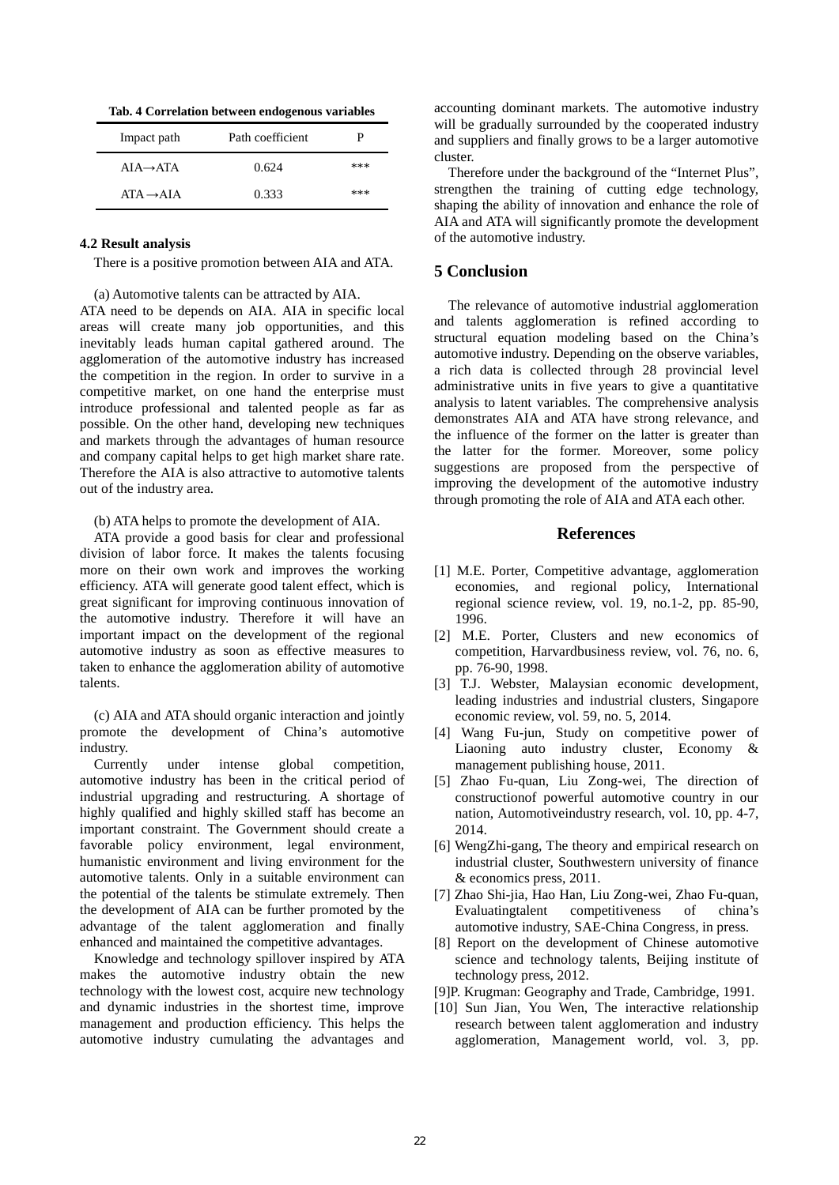**Tab. 4 Correlation between endogenous variables**

| Impact path           | Path coefficient | р   |
|-----------------------|------------------|-----|
| $AIA \rightarrow ATA$ | 0.624            | *** |
| $ATA \rightarrow AIA$ | 0.333            | *** |

### **4.2 Result analysis**

There is a positive promotion between AIA and ATA.

(a) Automotive talents can be attracted by AIA.

ATA need to be depends on AIA. AIA in specific local areas will create many job opportunities, and this inevitably leads human capital gathered around. The agglomeration of the automotive industry has increased the competition in the region. In order to survive in a competitive market, on one hand the enterprise must introduce professional and talented people as far as possible. On the other hand, developing new techniques and markets through the advantages of human resource and company capital helps to get high market share rate. Therefore the AIA is also attractive to automotive talents out of the industry area.

(b) ATA helps to promote the development of AIA.

ATA provide a good basis for clear and professional division of labor force. It makes the talents focusing more on their own work and improves the working efficiency. ATA will generate good talent effect, which is great significant for improving continuous innovation of the automotive industry. Therefore it will have an important impact on the development of the regional automotive industry as soon as effective measures to taken to enhance the agglomeration ability of automotive talents.

 (c) AIA and ATA should organic interaction and jointly promote the development of China's automotive industry.

 Currently under intense global competition, automotive industry has been in the critical period of industrial upgrading and restructuring. A shortage of highly qualified and highly skilled staff has become an important constraint. The Government should create a favorable policy environment, legal environment, humanistic environment and living environment for the automotive talents. Only in a suitable environment can the potential of the talents be stimulate extremely. Then the development of AIA can be further promoted by the advantage of the talent agglomeration and finally enhanced and maintained the competitive advantages.

 Knowledge and technology spillover inspired by ATA makes the automotive industry obtain the new technology with the lowest cost, acquire new technology and dynamic industries in the shortest time, improve management and production efficiency. This helps the automotive industry cumulating the advantages and accounting dominant markets. The automotive industry will be gradually surrounded by the cooperated industry and suppliers and finally grows to be a larger automotive cluster.

Therefore under the background of the "Internet Plus", strengthen the training of cutting edge technology, shaping the ability of innovation and enhance the role of AIA and ATA will significantly promote the development of the automotive industry.

### **5 Conclusion**

The relevance of automotive industrial agglomeration and talents agglomeration is refined according to structural equation modeling based on the China's automotive industry. Depending on the observe variables, a rich data is collected through 28 provincial level administrative units in five years to give a quantitative analysis to latent variables. The comprehensive analysis demonstrates AIA and ATA have strong relevance, and the influence of the former on the latter is greater than the latter for the former. Moreover, some policy suggestions are proposed from the perspective of improving the development of the automotive industry through promoting the role of AIA and ATA each other.

# **References**

- [1] M.E. Porter, Competitive advantage, agglomeration economies, and regional policy, International regional science review, vol. 19, no.1-2, pp. 85-90, 1996.
- [2] M.E. Porter, Clusters and new economics of competition, Harvardbusiness review, vol. 76, no. 6, pp. 76-90, 1998.
- [3] T.J. Webster, Malaysian economic development, leading industries and industrial clusters, Singapore economic review, vol. 59, no. 5, 2014.
- [4] Wang Fu-jun, Study on competitive power of Liaoning auto industry cluster, Economy & management publishing house, 2011.
- [5] Zhao Fu-quan, Liu Zong-wei, The direction of constructionof powerful automotive country in our nation, Automotiveindustry research, vol. 10, pp. 4-7, 2014.
- [6] WengZhi-gang, The theory and empirical research on industrial cluster, Southwestern university of finance & economics press, 2011.
- [7] Zhao Shi-jia, Hao Han, Liu Zong-wei, Zhao Fu-quan, Evaluatingtalent competitiveness of china's automotive industry, SAE-China Congress, in press.
- [8] Report on the development of Chinese automotive science and technology talents, Beijing institute of technology press, 2012.
- [9]P. Krugman: Geography and Trade, Cambridge, 1991.
- [10] Sun Jian, You Wen, The interactive relationship research between talent agglomeration and industry agglomeration, Management world, vol. 3, pp.